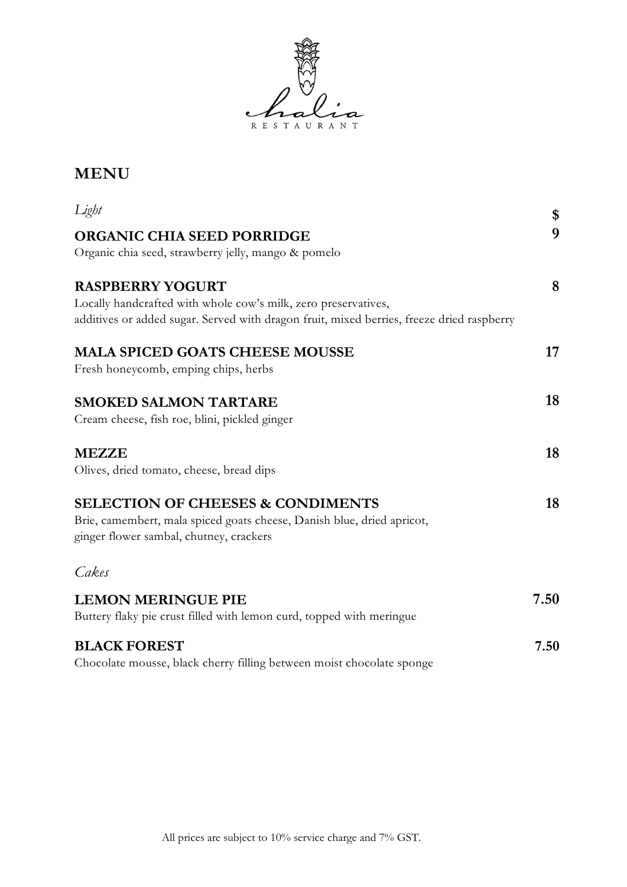

## **MENU**

| Light                                                                                     | \$   |
|-------------------------------------------------------------------------------------------|------|
| <b>ORGANIC CHIA SEED PORRIDGE</b>                                                         | 9    |
| Organic chia seed, strawberry jelly, mango & pomelo                                       |      |
| <b>RASPBERRY YOGURT</b>                                                                   | 8    |
| Locally handcrafted with whole cow's milk, zero preservatives,                            |      |
| additives or added sugar. Served with dragon fruit, mixed berries, freeze dried raspberry |      |
| <b>MALA SPICED GOATS CHEESE MOUSSE</b>                                                    | 17   |
| Fresh honeycomb, emping chips, herbs                                                      |      |
| <b>SMOKED SALMON TARTARE</b>                                                              | 18   |
| Cream cheese, fish roe, blini, pickled ginger                                             |      |
| <b>MEZZE</b>                                                                              | 18   |
| Olives, dried tomato, cheese, bread dips                                                  |      |
| <b>SELECTION OF CHEESES &amp; CONDIMENTS</b>                                              | 18   |
| Brie, camembert, mala spiced goats cheese, Danish blue, dried apricot,                    |      |
| ginger flower sambal, chutney, crackers                                                   |      |
| Cakes                                                                                     |      |
| <b>LEMON MERINGUE PIE</b>                                                                 | 7.50 |
| Buttery flaky pie crust filled with lemon curd, topped with meringue                      |      |
| <b>BLACK FOREST</b>                                                                       | 7.50 |
| Chocolate mousse, black cherry filling between moist chocolate sponge                     |      |